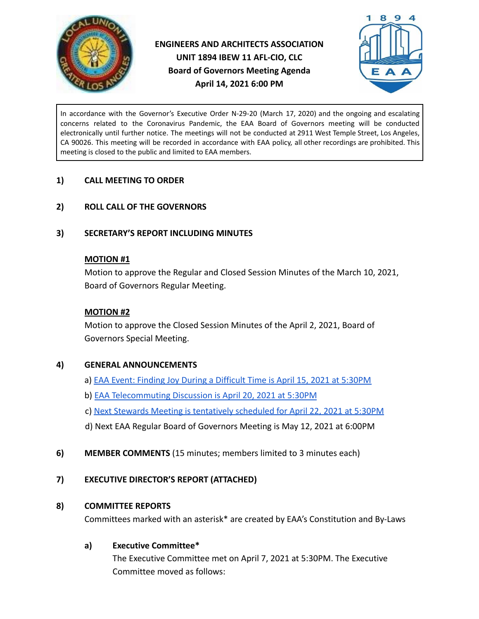



In accordance with the Governor's Executive Order N-29-20 (March 17, 2020) and the ongoing and escalating concerns related to the Coronavirus Pandemic, the EAA Board of Governors meeting will be conducted electronically until further notice. The meetings will not be conducted at 2911 West Temple Street, Los Angeles, CA 90026. This meeting will be recorded in accordance with EAA policy, all other recordings are prohibited. This meeting is closed to the public and limited to EAA members.

#### **1) CALL MEETING TO ORDER**

#### **2) ROLL CALL OF THE GOVERNORS**

#### **3) SECRETARY'S REPORT INCLUDING MINUTES**

#### **MOTION #1**

Motion to approve the Regular and Closed Session Minutes of the March 10, 2021, Board of Governors Regular Meeting.

#### **MOTION #2**

Motion to approve the Closed Session Minutes of the April 2, 2021, Board of Governors Special Meeting.

#### **4) GENERAL ANNOUNCEMENTS**

- a) **[EAA Event: Finding Joy During a Difficult Time](https://us02web.zoom.us/meeting/register/tZAldOyhqjIjHNErfDenXDzG9TJHTySl7rRG) is April 15, 2021 at 5:30PM**
- b) [EAA Telecommuting Discussion is April 20, 2021](https://us02web.zoom.us/meeting/register/tZcvdOiqpj0sHtyet7D5l0DHsez12UqF-S2w) at 5:30PM
- c) [Next Stewards Meeting is tentatively scheduled](https://us02web.zoom.us/meeting/register/tZEqc-2qqzMvE9YOh_9jtlw8HEXk2vVzCyc0) for April 22, 2021 at 5:30PM
- d) Next EAA Regular Board of Governors Meeting is May 12, 2021 at 6:00PM
- **6) MEMBER COMMENTS** (15 minutes; members limited to 3 minutes each)

## **7) EXECUTIVE DIRECTOR'S REPORT (ATTACHED)**

#### **8) COMMITTEE REPORTS**

Committees marked with an asterisk\* are created by EAA's Constitution and By-Laws

## **a) Executive Committee\***

The Executive Committee met on April 7, 2021 at 5:30PM. The Executive Committee moved as follows: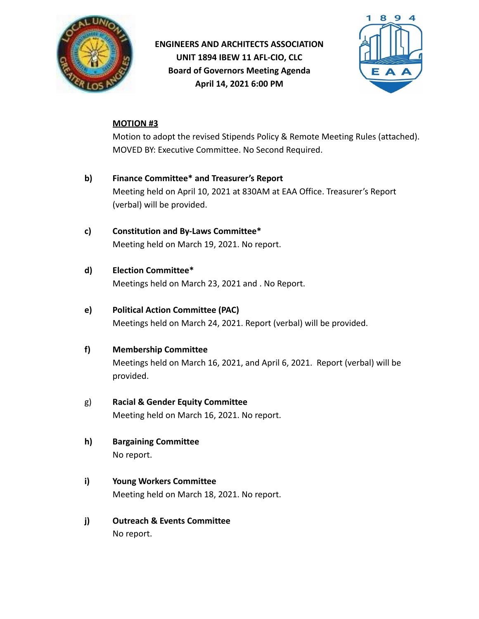



### **MOTION #3**

Motion to adopt the revised Stipends Policy & Remote Meeting Rules (attached). MOVED BY: Executive Committee. No Second Required.

- **b) Finance Committee\* and Treasurer's Report** Meeting held on April 10, 2021 at 830AM at EAA Office. Treasurer's Report (verbal) will be provided.
- **c) Constitution and By-Laws Committee\*** Meeting held on March 19, 2021. No report.
- **d) Election Committee\***

Meetings held on March 23, 2021 and . No Report.

### **e) Political Action Committee (PAC)**

Meetings held on March 24, 2021. Report (verbal) will be provided.

#### **f) Membership Committee**

Meetings held on March 16, 2021, and April 6, 2021. Report (verbal) will be provided.

#### g) **Racial & Gender Equity Committee**

Meeting held on March 16, 2021. No report.

- **h) Bargaining Committee** No report.
- **i) Young Workers Committee** Meeting held on March 18, 2021. No report.
- **j) Outreach & Events Committee** No report.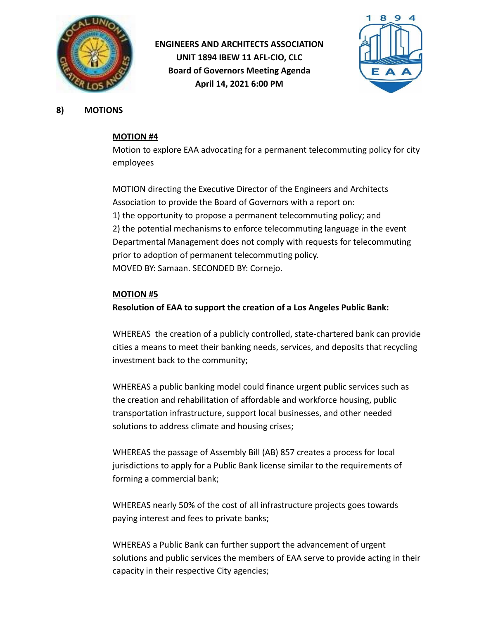



**8) MOTIONS**

#### **MOTION #4**

Motion to explore EAA advocating for a permanent telecommuting policy for city employees

MOTION directing the Executive Director of the Engineers and Architects Association to provide the Board of Governors with a report on: 1) the opportunity to propose a permanent telecommuting policy; and 2) the potential mechanisms to enforce telecommuting language in the event Departmental Management does not comply with requests for telecommuting prior to adoption of permanent telecommuting policy. MOVED BY: Samaan. SECONDED BY: Cornejo.

#### **MOTION #5**

**Resolution of EAA to support the creation of a Los Angeles Public Bank:**

WHEREAS the creation of a publicly controlled, state-chartered bank can provide cities a means to meet their banking needs, services, and deposits that recycling investment back to the community;

WHEREAS a public banking model could finance urgent public services such as the creation and rehabilitation of affordable and workforce housing, public transportation infrastructure, support local businesses, and other needed solutions to address climate and housing crises;

WHEREAS the passage of Assembly Bill (AB) 857 creates a process for local jurisdictions to apply for a Public Bank license similar to the requirements of forming a commercial bank;

WHEREAS nearly 50% of the cost of all infrastructure projects goes towards paying interest and fees to private banks;

WHEREAS a Public Bank can further support the advancement of urgent solutions and public services the members of EAA serve to provide acting in their capacity in their respective City agencies;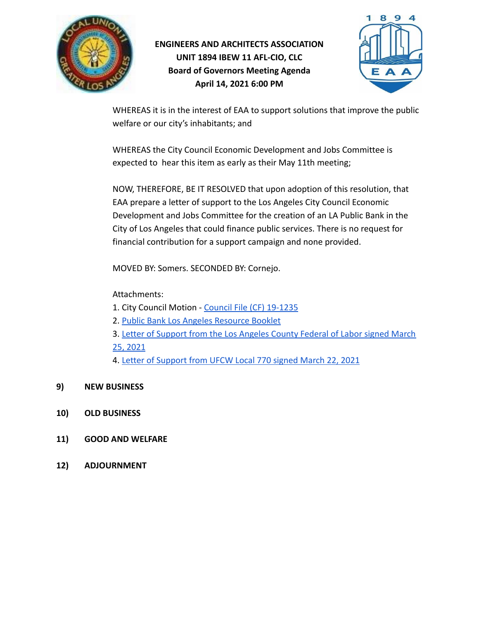



WHEREAS it is in the interest of EAA to support solutions that improve the public welfare or our city's inhabitants; and

WHEREAS the City Council Economic Development and Jobs Committee is expected to hear this item as early as their May 11th meeting;

NOW, THEREFORE, BE IT RESOLVED that upon adoption of this resolution, that EAA prepare a letter of support to the Los Angeles City Council Economic Development and Jobs Committee for the creation of an LA Public Bank in the City of Los Angeles that could finance public services. There is no request for financial contribution for a support campaign and none provided.

MOVED BY: Somers. SECONDED BY: Cornejo.

Attachments:

- 1. City Council Motion [Council File \(CF\) 19-1235](https://clkrep.lacity.org/onlinedocs/2019/19-1235_mot_10-11-2019.pdf)
- 2. [Public Bank Los Angeles Resource Booklet](https://publicbankla.com/images/Public-Bank-LA-Resource-Booklet.pdf)
- 3. [Letter of Support from the Los Angeles County Federal](https://clkrep.lacity.org/onlinedocs/2019/19-1235_pc_3-17-21.pdf) of Labor signed March [25, 2021](https://clkrep.lacity.org/onlinedocs/2019/19-1235_pc_3-17-21.pdf)

4. [Letter of Support from UFCW Local 770 signed March](https://clkrep.lacity.org/onlinedocs/2019/19-1235_pc_03-17-21.pdf) 22, 2021

- **9) NEW BUSINESS**
- **10) OLD BUSINESS**
- **11) GOOD AND WELFARE**
- **12) ADJOURNMENT**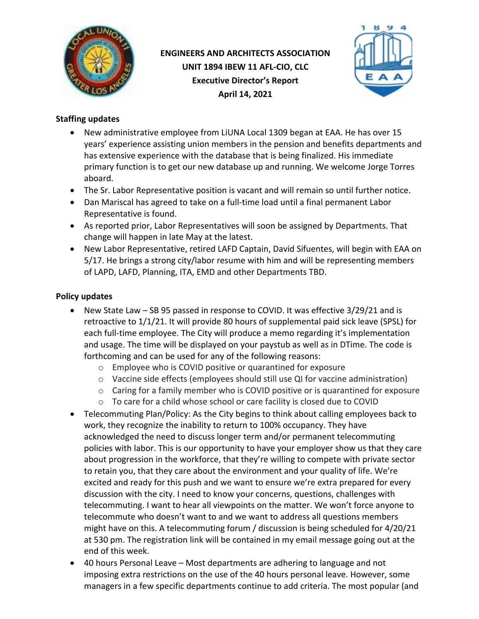

# **ENGINEERS AND ARCHITECTS ASSOCIATION UNIT 1894 IBEW 11 AFL-CIO, CLC Executive Director's Report April 14, 2021**



## **Staffing updates**

- New administrative employee from LiUNA Local 1309 began at EAA. He has over 15 years' experience assisting union members in the pension and benefits departments and has extensive experience with the database that is being finalized. His immediate primary function is to get our new database up and running. We welcome Jorge Torres aboard.
- The Sr. Labor Representative position is vacant and will remain so until further notice.
- Dan Mariscal has agreed to take on a full-time load until a final permanent Labor Representative is found.
- As reported prior, Labor Representatives will soon be assigned by Departments. That change will happen in late May at the latest.
- New Labor Representative, retired LAFD Captain, David Sifuentes, will begin with EAA on 5/17. He brings a strong city/labor resume with him and will be representing members of LAPD, LAFD, Planning, ITA, EMD and other Departments TBD.

## **Policy updates**

- New State Law SB 95 passed in response to COVID. It was effective 3/29/21 and is retroactive to 1/1/21. It will provide 80 hours of supplemental paid sick leave (SPSL) for each full-time employee. The City will produce a memo regarding it's implementation and usage. The time will be displayed on your paystub as well as in DTime. The code is forthcoming and can be used for any of the following reasons:
	- o Employee who is COVID positive or quarantined for exposure
	- $\circ$  Vaccine side effects (employees should still use QI for vaccine administration)
	- $\circ$  Caring for a family member who is COVID positive or is quarantined for exposure
	- $\circ$  To care for a child whose school or care facility is closed due to COVID
- Telecommuting Plan/Policy: As the City begins to think about calling employees back to work, they recognize the inability to return to 100% occupancy. They have acknowledged the need to discuss longer term and/or permanent telecommuting policies with labor. This is our opportunity to have your employer show us that they care about progression in the workforce, that they're willing to compete with private sector to retain you, that they care about the environment and your quality of life. We're excited and ready for this push and we want to ensure we're extra prepared for every discussion with the city. I need to know your concerns, questions, challenges with telecommuting. I want to hear all viewpoints on the matter. We won't force anyone to telecommute who doesn't want to and we want to address all questions members might have on this. A telecommuting forum / discussion is being scheduled for 4/20/21 at 530 pm. The registration link will be contained in my email message going out at the end of this week.
- 40 hours Personal Leave Most departments are adhering to language and not imposing extra restrictions on the use of the 40 hours personal leave. However, some managers in a few specific departments continue to add criteria. The most popular (and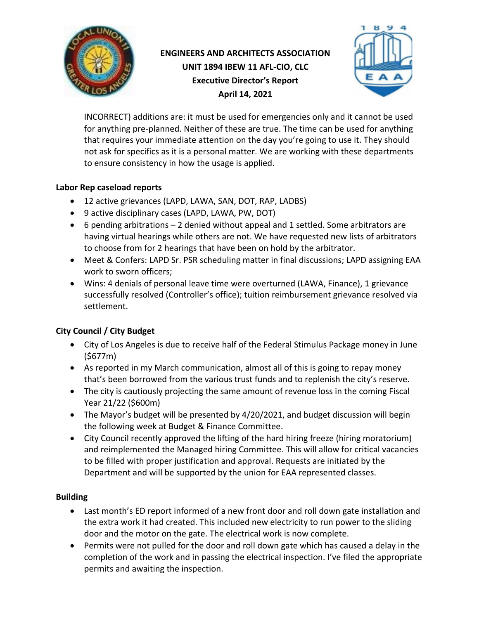

# **ENGINEERS AND ARCHITECTS ASSOCIATION UNIT 1894 IBEW 11 AFL-CIO, CLC Executive Director's Report April 14, 2021**



INCORRECT) additions are: it must be used for emergencies only and it cannot be used for anything pre-planned. Neither of these are true. The time can be used for anything that requires your immediate attention on the day you're going to use it. They should not ask for specifics as it is a personal matter. We are working with these departments to ensure consistency in how the usage is applied.

### **Labor Rep caseload reports**

- 12 active grievances (LAPD, LAWA, SAN, DOT, RAP, LADBS)
- 9 active disciplinary cases (LAPD, LAWA, PW, DOT)
- 6 pending arbitrations 2 denied without appeal and 1 settled. Some arbitrators are having virtual hearings while others are not. We have requested new lists of arbitrators to choose from for 2 hearings that have been on hold by the arbitrator.
- Meet & Confers: LAPD Sr. PSR scheduling matter in final discussions; LAPD assigning EAA work to sworn officers;
- Wins: 4 denials of personal leave time were overturned (LAWA, Finance), 1 grievance successfully resolved (Controller's office); tuition reimbursement grievance resolved via settlement.

## **City Council / City Budget**

- City of Los Angeles is due to receive half of the Federal Stimulus Package money in June (\$677m)
- As reported in my March communication, almost all of this is going to repay money that's been borrowed from the various trust funds and to replenish the city's reserve.
- The city is cautiously projecting the same amount of revenue loss in the coming Fiscal Year 21/22 (\$600m)
- The Mayor's budget will be presented by 4/20/2021, and budget discussion will begin the following week at Budget & Finance Committee.
- City Council recently approved the lifting of the hard hiring freeze (hiring moratorium) and reimplemented the Managed hiring Committee. This will allow for critical vacancies to be filled with proper justification and approval. Requests are initiated by the Department and will be supported by the union for EAA represented classes.

## **Building**

- Last month's ED report informed of a new front door and roll down gate installation and the extra work it had created. This included new electricity to run power to the sliding door and the motor on the gate. The electrical work is now complete.
- Permits were not pulled for the door and roll down gate which has caused a delay in the completion of the work and in passing the electrical inspection. I've filed the appropriate permits and awaiting the inspection.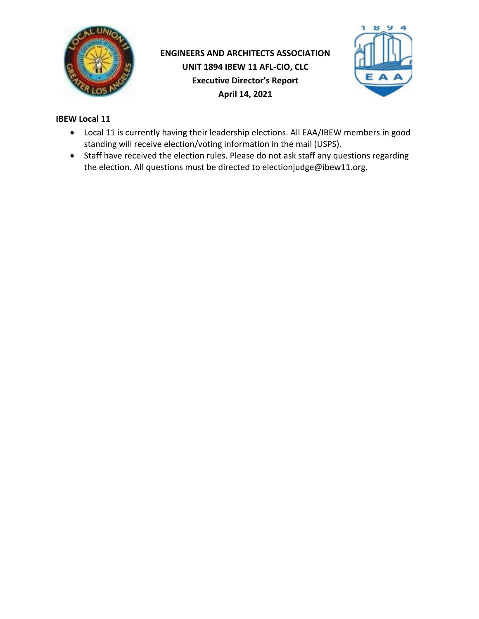

# **ENGINEERS AND ARCHITECTS ASSOCIATION UNIT 1894 IBEW 11 AFL-CIO, CLC Executive Director's Report April 14, 2021**



### **IBEW Local 11**

- Local 11 is currently having their leadership elections. All EAA/IBEW members in good standing will receive election/voting information in the mail (USPS).
- Staff have received the election rules. Please do not ask staff any questions regarding the election. All questions must be directed to electionjudge@ibew11.org.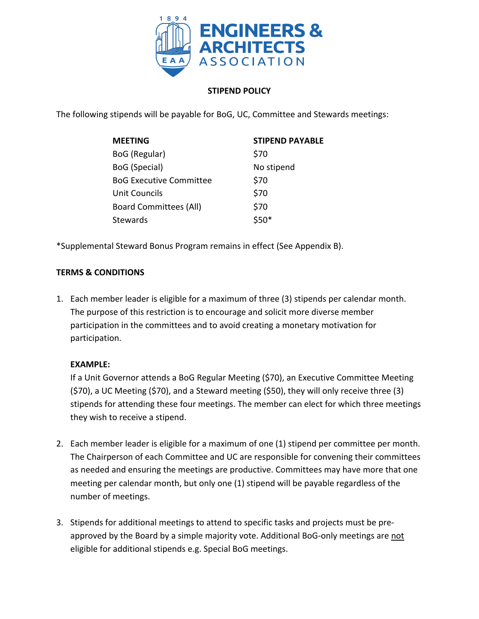

### **STIPEND POLICY**

The following stipends will be payable for BoG, UC, Committee and Stewards meetings:

| <b>MEETING</b>                 | <b>STIPEND PAYABLE</b> |
|--------------------------------|------------------------|
| BoG (Regular)                  | \$70                   |
| BoG (Special)                  | No stipend             |
| <b>BoG Executive Committee</b> | \$70                   |
| Unit Councils                  | \$70                   |
| <b>Board Committees (All)</b>  | \$70                   |
| Stewards                       | <ናበ*                   |

\*Supplemental Steward Bonus Program remains in effect (See Appendix B).

#### **TERMS & CONDITIONS**

1. Each member leader is eligible for a maximum of three (3) stipends per calendar month. The purpose of this restriction is to encourage and solicit more diverse member participation in the committees and to avoid creating a monetary motivation for participation.

#### **EXAMPLE:**

If a Unit Governor attends a BoG Regular Meeting (\$70), an Executive Committee Meeting (\$70), a UC Meeting (\$70), and a Steward meeting (\$50), they will only receive three (3) stipends for attending these four meetings. The member can elect for which three meetings they wish to receive a stipend.

- 2. Each member leader is eligible for a maximum of one (1) stipend per committee per month. The Chairperson of each Committee and UC are responsible for convening their committees as needed and ensuring the meetings are productive. Committees may have more that one meeting per calendar month, but only one (1) stipend will be payable regardless of the number of meetings.
- 3. Stipends for additional meetings to attend to specific tasks and projects must be preapproved by the Board by a simple majority vote. Additional BoG-only meetings are not eligible for additional stipends e.g. Special BoG meetings.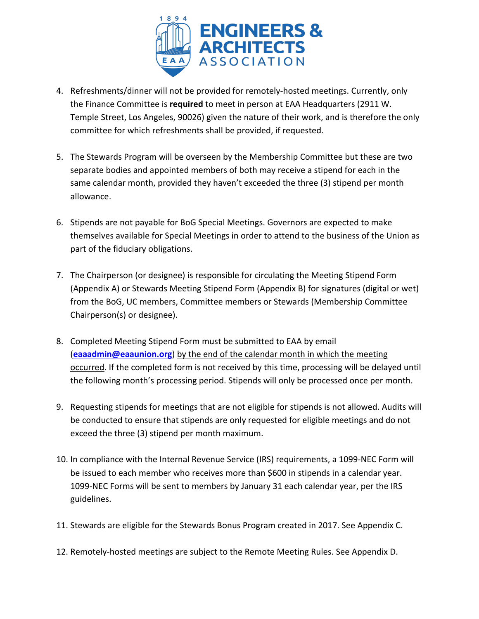

- 4. Refreshments/dinner will not be provided for remotely-hosted meetings. Currently, only the Finance Committee is **required** to meet in person at EAA Headquarters (2911 W. Temple Street, Los Angeles, 90026) given the nature of their work, and is therefore the only committee for which refreshments shall be provided, if requested.
- 5. The Stewards Program will be overseen by the Membership Committee but these are two separate bodies and appointed members of both may receive a stipend for each in the same calendar month, provided they haven't exceeded the three (3) stipend per month allowance.
- 6. Stipends are not payable for BoG Special Meetings. Governors are expected to make themselves available for Special Meetings in order to attend to the business of the Union as part of the fiduciary obligations.
- 7. The Chairperson (or designee) is responsible for circulating the Meeting Stipend Form (Appendix A) or Stewards Meeting Stipend Form (Appendix B) for signatures (digital or wet) from the BoG, UC members, Committee members or Stewards (Membership Committee Chairperson(s) or designee).
- 8. Completed Meeting Stipend Form must be submitted to EAA by email (**eaaadmin@eaaunion.org**) by the end of the calendar month in which the meeting occurred. If the completed form is not received by this time, processing will be delayed until the following month's processing period. Stipends will only be processed once per month.
- 9. Requesting stipends for meetings that are not eligible for stipends is not allowed. Audits will be conducted to ensure that stipends are only requested for eligible meetings and do not exceed the three (3) stipend per month maximum.
- 10. In compliance with the Internal Revenue Service (IRS) requirements, a 1099-NEC Form will be issued to each member who receives more than \$600 in stipends in a calendar year. 1099-NEC Forms will be sent to members by January 31 each calendar year, per the IRS guidelines.
- 11. Stewards are eligible for the Stewards Bonus Program created in 2017. See Appendix C.
- 12. Remotely-hosted meetings are subject to the Remote Meeting Rules. See Appendix D.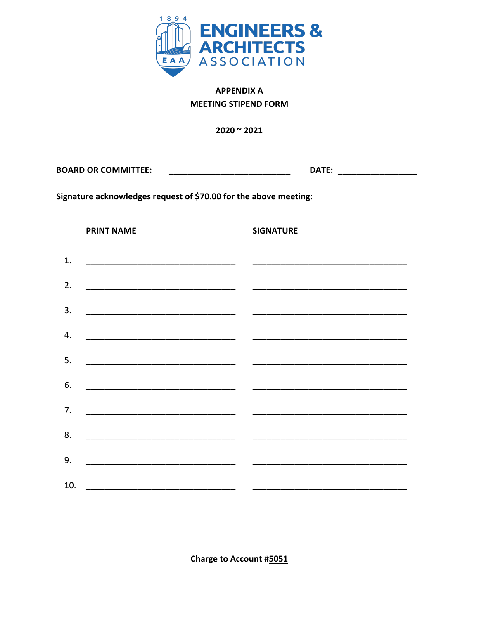

## **APPENDIX A MEETING STIPEND FORM**

 $2020 - 2021$ 

| <b>BOARD OR COMMITTEE:</b> |  |  |
|----------------------------|--|--|
|                            |  |  |

Signature acknowledges request of \$70.00 for the above meeting:

**PRINT NAME** 

**SIGNATURE** 

| 2. |                    | $\begin{tabular}{lcccccc} \multicolumn{2}{c }{\textbf{1} & \textbf{2} & \textbf{3} & \textbf{4} & \textbf{5} & \textbf{5} & \textbf{6} & \textbf{7} & \textbf{8} & \textbf{9} & \textbf{10} & \textbf{10} & \textbf{10} & \textbf{10} & \textbf{10} & \textbf{10} & \textbf{10} & \textbf{10} & \textbf{10} & \textbf{10} & \textbf{10} & \textbf{10} & \textbf{10} & \textbf{10} & \textbf{10} & \textbf{10} & \text$ |
|----|--------------------|------------------------------------------------------------------------------------------------------------------------------------------------------------------------------------------------------------------------------------------------------------------------------------------------------------------------------------------------------------------------------------------------------------------------|
| 3. |                    |                                                                                                                                                                                                                                                                                                                                                                                                                        |
| 4. |                    |                                                                                                                                                                                                                                                                                                                                                                                                                        |
| 5. |                    |                                                                                                                                                                                                                                                                                                                                                                                                                        |
| 6. |                    |                                                                                                                                                                                                                                                                                                                                                                                                                        |
|    | 7. $\qquad \qquad$ |                                                                                                                                                                                                                                                                                                                                                                                                                        |
|    |                    |                                                                                                                                                                                                                                                                                                                                                                                                                        |
| 9. |                    |                                                                                                                                                                                                                                                                                                                                                                                                                        |
|    |                    |                                                                                                                                                                                                                                                                                                                                                                                                                        |

Charge to Account #5051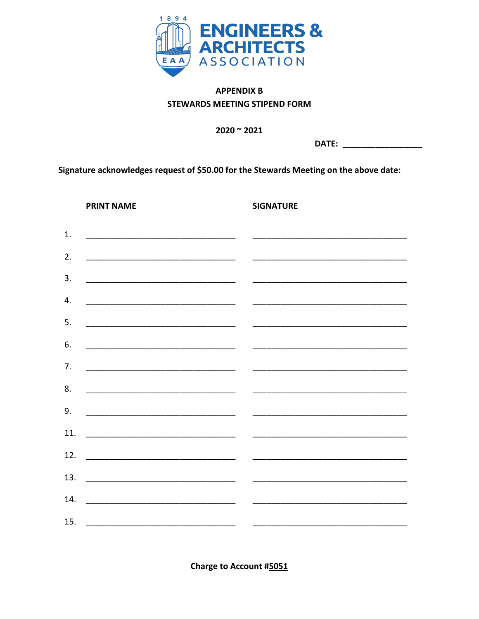

## **APPENDIX B STEWARDS MEETING STIPEND FORM**

 $2020 - 2021$ 

DATE: \_\_\_\_\_\_\_\_\_\_\_\_\_\_

Signature acknowledges request of \$50.00 for the Stewards Meeting on the above date:

**PRINT NAME** 

**SIGNATURE** 

| 1.  |                                                       | <u> 1989 - Johann Barbara, martin da basar da basar da basar da basar da basar da basar da basar da basar</u>         |
|-----|-------------------------------------------------------|-----------------------------------------------------------------------------------------------------------------------|
| 2.  |                                                       | <u> 1980 - Jan Barbara Barbara, manazarta da kasas da shekara 1980 - Andrea Santa Barbara a Santa Barbara a Santa</u> |
| 3.  |                                                       |                                                                                                                       |
| 4.  |                                                       |                                                                                                                       |
| 5.  |                                                       |                                                                                                                       |
| 6.  |                                                       |                                                                                                                       |
| 7.  |                                                       |                                                                                                                       |
| 8.  | <u> 1980 - Jan Barnett, fransk kongresu (d. 1980)</u> | <u> 1989 - Johann Harry Harry Harry Harry Harry Harry Harry Harry Harry Harry Harry Harry Harry Harry Harry Harry</u> |
| 9.  |                                                       |                                                                                                                       |
| 11. |                                                       |                                                                                                                       |
|     |                                                       |                                                                                                                       |
| 12. |                                                       | <u> 1980 - Jan Barat, amerikan personal per</u>                                                                       |
| 13. |                                                       |                                                                                                                       |
| 14. |                                                       |                                                                                                                       |
|     |                                                       |                                                                                                                       |

Charge to Account #5051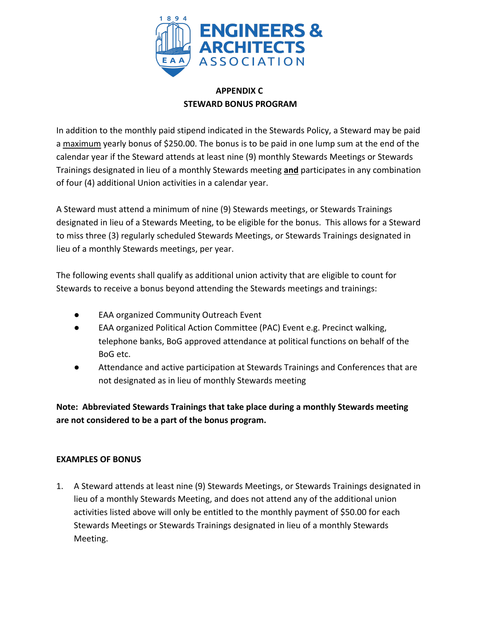

## **APPENDIX C STEWARD BONUS PROGRAM**

In addition to the monthly paid stipend indicated in the Stewards Policy, a Steward may be paid a maximum yearly bonus of \$250.00. The bonus is to be paid in one lump sum at the end of the calendar year if the Steward attends at least nine (9) monthly Stewards Meetings or Stewards Trainings designated in lieu of a monthly Stewards meeting **and** participates in any combination of four (4) additional Union activities in a calendar year.

A Steward must attend a minimum of nine (9) Stewards meetings, or Stewards Trainings designated in lieu of a Stewards Meeting, to be eligible for the bonus. This allows for a Steward to miss three (3) regularly scheduled Stewards Meetings, or Stewards Trainings designated in lieu of a monthly Stewards meetings, per year.

The following events shall qualify as additional union activity that are eligible to count for Stewards to receive a bonus beyond attending the Stewards meetings and trainings:

- **EAA organized Community Outreach Event**
- EAA organized Political Action Committee (PAC) Event e.g. Precinct walking, telephone banks, BoG approved attendance at political functions on behalf of the BoG etc.
- Attendance and active participation at Stewards Trainings and Conferences that are not designated as in lieu of monthly Stewards meeting

**Note: Abbreviated Stewards Trainings that take place during a monthly Stewards meeting are not considered to be a part of the bonus program.**

#### **EXAMPLES OF BONUS**

1. A Steward attends at least nine (9) Stewards Meetings, or Stewards Trainings designated in lieu of a monthly Stewards Meeting, and does not attend any of the additional union activities listed above will only be entitled to the monthly payment of \$50.00 for each Stewards Meetings or Stewards Trainings designated in lieu of a monthly Stewards Meeting.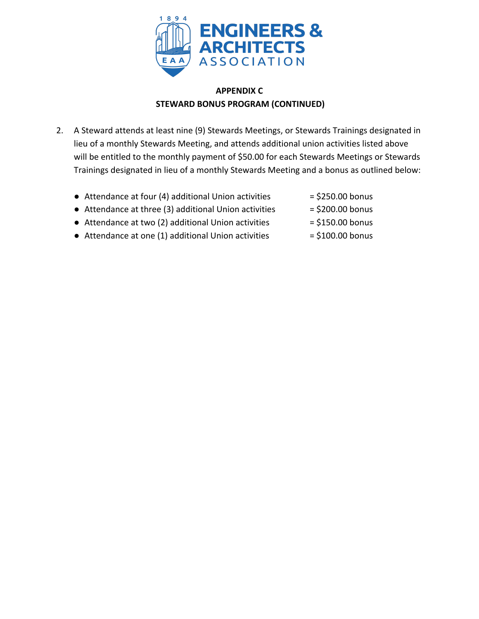

## **APPENDIX C STEWARD BONUS PROGRAM (CONTINUED)**

- 2. A Steward attends at least nine (9) Stewards Meetings, or Stewards Trainings designated in lieu of a monthly Stewards Meeting, and attends additional union activities listed above will be entitled to the monthly payment of \$50.00 for each Stewards Meetings or Stewards Trainings designated in lieu of a monthly Stewards Meeting and a bonus as outlined below:
	- Attendance at four (4) additional Union activities  $= $250.00$  bonus
		-
	- Attendance at three (3) additional Union activities  $= $200.00$  bonus
	- Attendance at two (2) additional Union activities  $= $150.00$  bonus
	- Attendance at one (1) additional Union activities  $= $100.00$  bonus
- 
- 
-